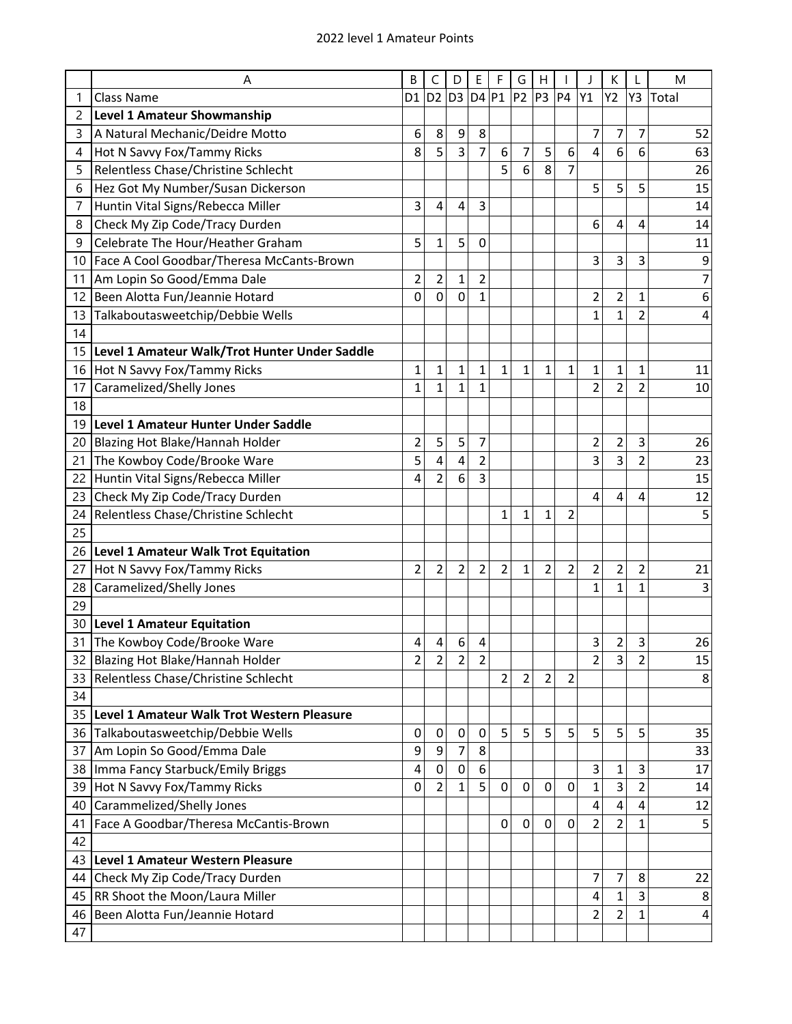|    | A                                             | B              | C              | D              | E              | F              | G              | н              |                |                         | К              |                | M              |
|----|-----------------------------------------------|----------------|----------------|----------------|----------------|----------------|----------------|----------------|----------------|-------------------------|----------------|----------------|----------------|
| 1  | <b>Class Name</b>                             | D <sub>1</sub> | D <sub>2</sub> | D <sub>3</sub> | $D4$ P1        |                | P <sub>2</sub> | P <sub>3</sub> | P <sub>4</sub> | Y1                      | Y2             | Y3             | Total          |
| 2  | Level 1 Amateur Showmanship                   |                |                |                |                |                |                |                |                |                         |                |                |                |
| 3  | A Natural Mechanic/Deidre Motto               | 6              | 8              | 9              | 8              |                |                |                |                | 7                       | 7              | 7              | 52             |
| 4  | Hot N Savvy Fox/Tammy Ricks                   | 8              | 5              | $\overline{3}$ | $\overline{7}$ | 6              | 7              | 5              | 6              | 4                       | 6              | 6              | 63             |
| 5  | Relentless Chase/Christine Schlecht           |                |                |                |                | 5              | 6              | 8              | $\overline{7}$ |                         |                |                | 26             |
| 6  | Hez Got My Number/Susan Dickerson             |                |                |                |                |                |                |                |                | 5                       | 5              | 5              | 15             |
| 7  | Huntin Vital Signs/Rebecca Miller             | 3              | 4              | 4              | 3              |                |                |                |                |                         |                |                | 14             |
| 8  | Check My Zip Code/Tracy Durden                |                |                |                |                |                |                |                |                | 6                       | 4              | 4              | 14             |
| 9  | Celebrate The Hour/Heather Graham             | 5              | $\mathbf 1$    | 5              | $\mathbf 0$    |                |                |                |                |                         |                |                | 11             |
| 10 | Face A Cool Goodbar/Theresa McCants-Brown     |                |                |                |                |                |                |                |                | 3                       | 3              | 3              | 9              |
| 11 | Am Lopin So Good/Emma Dale                    | $\overline{2}$ | 2              | $\mathbf 1$    | $\overline{c}$ |                |                |                |                |                         |                |                | $\overline{7}$ |
| 12 | Been Alotta Fun/Jeannie Hotard                | 0              | 0              | 0              | $\mathbf 1$    |                |                |                |                | 2                       | 2              | 1              | 6              |
| 13 | Talkaboutasweetchip/Debbie Wells              |                |                |                |                |                |                |                |                | $\overline{1}$          | $\overline{1}$ | $\overline{2}$ | 4              |
| 14 |                                               |                |                |                |                |                |                |                |                |                         |                |                |                |
| 15 | Level 1 Amateur Walk/Trot Hunter Under Saddle |                |                |                |                |                |                |                |                |                         |                |                |                |
| 16 | Hot N Savvy Fox/Tammy Ricks                   | $\mathbf{1}$   | 1              | $\mathbf 1$    | 1              | $\mathbf{1}$   | 1              | 1              | 1              | $\mathbf{1}$            | $\mathbf{1}$   | $\mathbf{1}$   | 11             |
| 17 | Caramelized/Shelly Jones                      | $\mathbf{1}$   | 1              | $\mathbf 1$    | $\mathbf{1}$   |                |                |                |                | $\overline{2}$          | $\overline{2}$ | $\overline{2}$ | 10             |
| 18 |                                               |                |                |                |                |                |                |                |                |                         |                |                |                |
| 19 | <b>Level 1 Amateur Hunter Under Saddle</b>    |                |                |                |                |                |                |                |                |                         |                |                |                |
| 20 | Blazing Hot Blake/Hannah Holder               | $\overline{c}$ | 5              | 5              | 7              |                |                |                |                | $\overline{\mathbf{c}}$ | $\overline{2}$ | 3              | 26             |
| 21 | The Kowboy Code/Brooke Ware                   | 5              | 4              | 4              | $\overline{2}$ |                |                |                |                | 3                       | 3              | $\overline{2}$ | 23             |
| 22 | Huntin Vital Signs/Rebecca Miller             | 4              | 2              | 6              | 3              |                |                |                |                |                         |                |                | 15             |
| 23 | Check My Zip Code/Tracy Durden                |                |                |                |                |                |                |                |                | 4                       | 4              | 4              | 12             |
| 24 | Relentless Chase/Christine Schlecht           |                |                |                |                | $\mathbf{1}$   | 1              | 1              | $\overline{2}$ |                         |                |                | 5              |
| 25 |                                               |                |                |                |                |                |                |                |                |                         |                |                |                |
| 26 | Level 1 Amateur Walk Trot Equitation          |                |                |                |                |                |                |                |                |                         |                |                |                |
| 27 | Hot N Savvy Fox/Tammy Ricks                   | $\overline{2}$ | 2              | $\overline{2}$ | $\overline{2}$ | $\overline{2}$ | $\mathbf{1}$   | $\overline{2}$ | $\overline{2}$ | $\overline{\mathbf{c}}$ | $\overline{2}$ | $\overline{2}$ | 21             |
| 28 | Caramelized/Shelly Jones                      |                |                |                |                |                |                |                |                | 1                       | $\mathbf{1}$   | $\mathbf{1}$   | $\overline{3}$ |
| 29 |                                               |                |                |                |                |                |                |                |                |                         |                |                |                |
| 30 | <b>Level 1 Amateur Equitation</b>             |                |                |                |                |                |                |                |                |                         |                |                |                |
| 31 | The Kowboy Code/Brooke Ware                   | 4              | 4              | 6              | 4              |                |                |                |                | 3                       | $\overline{c}$ | 3              | 26             |
|    | 32 Blazing Hot Blake/Hannah Holder            | $\overline{2}$ | $\overline{2}$ | 2              | $\overline{2}$ |                |                |                |                | $\overline{2}$          | 3              | $\overline{2}$ | 15             |
| 33 | Relentless Chase/Christine Schlecht           |                |                |                |                | $\overline{2}$ | $\overline{2}$ | 2              | $\overline{2}$ |                         |                |                | 8              |
| 34 |                                               |                |                |                |                |                |                |                |                |                         |                |                |                |
| 35 | Level 1 Amateur Walk Trot Western Pleasure    |                |                |                |                |                |                |                |                |                         |                |                |                |
| 36 | Talkaboutasweetchip/Debbie Wells              | 0              | 0              | 0              | 0              | 5              | 5              | 5              | 5              | 5                       | 5              | 5              | 35             |
| 37 | Am Lopin So Good/Emma Dale                    | 9              | 9              | 7              | 8              |                |                |                |                |                         |                |                | 33             |
| 38 | Imma Fancy Starbuck/Emily Briggs              | 4              | 0              | $\mathbf 0$    | 6              |                |                |                |                | 3                       | 1              | 3              | 17             |
| 39 | Hot N Savvy Fox/Tammy Ricks                   | 0              | 2              | 1              | 5              | 0              | 0              | 0              | 0              | $\mathbf{1}$            | 3              | $\overline{2}$ | 14             |
| 40 | Carammelized/Shelly Jones                     |                |                |                |                |                |                |                |                | 4                       | 4              | 4              | 12             |
| 41 | Face A Goodbar/Theresa McCantis-Brown         |                |                |                |                | 0              | 0              | 0              | 0              | 2                       | 2              | $\mathbf{1}$   | 5              |
| 42 |                                               |                |                |                |                |                |                |                |                |                         |                |                |                |
| 43 | Level 1 Amateur Western Pleasure              |                |                |                |                |                |                |                |                |                         |                |                |                |
| 44 | Check My Zip Code/Tracy Durden                |                |                |                |                |                |                |                |                | 7                       | 7              | 8              | 22             |
| 45 | RR Shoot the Moon/Laura Miller                |                |                |                |                |                |                |                |                | 4                       | $\mathbf{1}$   | 3              | 8              |
| 46 | Been Alotta Fun/Jeannie Hotard                |                |                |                |                |                |                |                |                | 2                       | 2              | $\mathbf{1}$   | 4              |
| 47 |                                               |                |                |                |                |                |                |                |                |                         |                |                |                |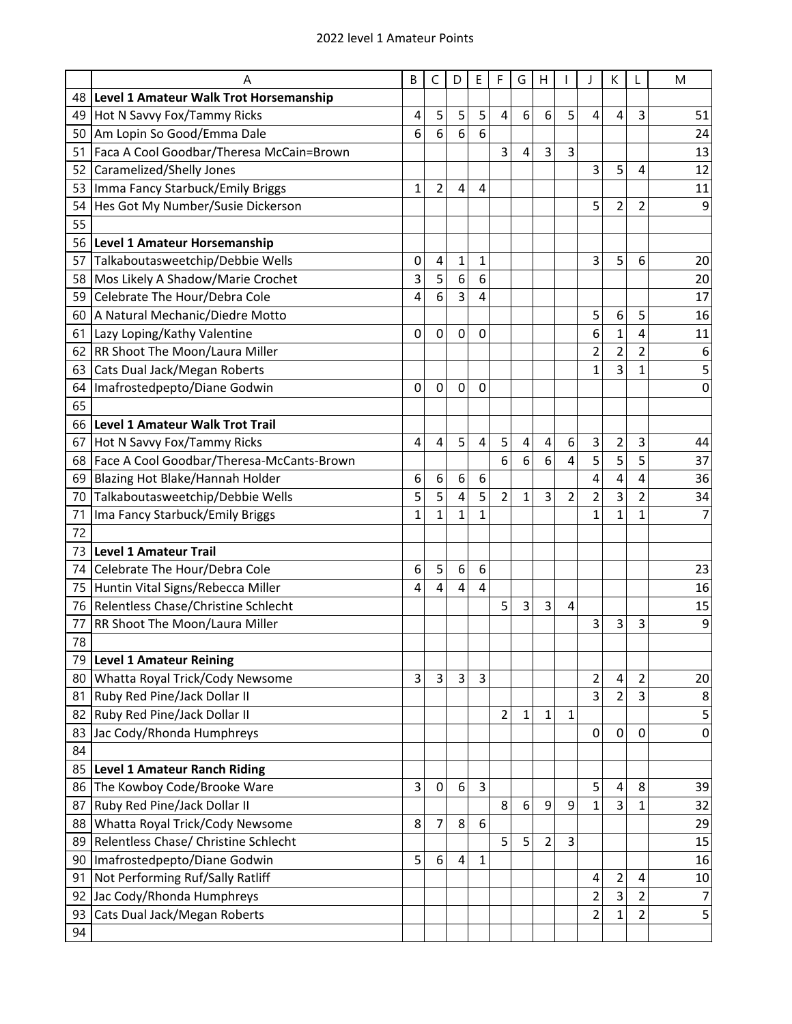|    | Α                                         | B              | C                       | D           | E              | F              | G | Η              |                | J                       | K                       |                | M              |
|----|-------------------------------------------|----------------|-------------------------|-------------|----------------|----------------|---|----------------|----------------|-------------------------|-------------------------|----------------|----------------|
|    | 48 Level 1 Amateur Walk Trot Horsemanship |                |                         |             |                |                |   |                |                |                         |                         |                |                |
|    | 49 Hot N Savvy Fox/Tammy Ricks            | 4              | 5                       | 5           | 5              | 4              | 6 | 6              | 5              | 4                       | 4                       | 3              | 51             |
|    | 50 Am Lopin So Good/Emma Dale             | 6              | 6                       | 6           | 6              |                |   |                |                |                         |                         |                | 24             |
| 51 | Faca A Cool Goodbar/Theresa McCain=Brown  |                |                         |             |                | 3              | 4 | 3              | 3              |                         |                         |                | 13             |
|    | 52 Caramelized/Shelly Jones               |                |                         |             |                |                |   |                |                | 3                       | 5                       | 4              | 12             |
| 53 | Imma Fancy Starbuck/Emily Briggs          | 1              | $\overline{2}$          | 4           | 4              |                |   |                |                |                         |                         |                | 11             |
| 54 | Hes Got My Number/Susie Dickerson         |                |                         |             |                |                |   |                |                | 5                       | 2                       | $\overline{2}$ | 9              |
| 55 |                                           |                |                         |             |                |                |   |                |                |                         |                         |                |                |
| 56 | <b>Level 1 Amateur Horsemanship</b>       |                |                         |             |                |                |   |                |                |                         |                         |                |                |
| 57 | Talkaboutasweetchip/Debbie Wells          | 0              | 4                       | $\mathbf 1$ | $\mathbf{1}$   |                |   |                |                | 3                       | 5                       | 6              | 20             |
| 58 | Mos Likely A Shadow/Marie Crochet         | 3              | 5                       | 6           | 6              |                |   |                |                |                         |                         |                | 20             |
| 59 | Celebrate The Hour/Debra Cole             | 4              | 6                       | 3           | 4              |                |   |                |                |                         |                         |                | 17             |
| 60 | A Natural Mechanic/Diedre Motto           |                |                         |             |                |                |   |                |                | 5                       | 6                       | 5              | 16             |
| 61 | Lazy Loping/Kathy Valentine               | $\mathbf 0$    | 0                       | 0           | 0              |                |   |                |                | 6                       | $\mathbf 1$             | 4              | 11             |
|    | 62 RR Shoot The Moon/Laura Miller         |                |                         |             |                |                |   |                |                | $\overline{2}$          | 2                       | $\overline{2}$ | 6              |
| 63 | Cats Dual Jack/Megan Roberts              |                |                         |             |                |                |   |                |                | $\overline{1}$          | 3                       | $\mathbf 1$    | 5              |
| 64 | Imafrostedpepto/Diane Godwin              | 0              | 0                       | 0           | 0              |                |   |                |                |                         |                         |                | 0              |
| 65 |                                           |                |                         |             |                |                |   |                |                |                         |                         |                |                |
| 66 | Level 1 Amateur Walk Trot Trail           |                |                         |             |                |                |   |                |                |                         |                         |                |                |
| 67 | Hot N Savvy Fox/Tammy Ricks               | $\overline{4}$ | $\overline{\mathbf{4}}$ | 5           | 4              | 5              | 4 | 4              | 6              | 3                       | 2                       | 3              | 44             |
| 68 | Face A Cool Goodbar/Theresa-McCants-Brown |                |                         |             |                | 6              | 6 | 6              | 4              | 5                       | 5                       | 5              | 37             |
| 69 | Blazing Hot Blake/Hannah Holder           | 6              | 6                       | 6           | 6              |                |   |                |                | 4                       | 4                       | 4              | 36             |
| 70 | Talkaboutasweetchip/Debbie Wells          | 5              | 5                       | 4           | 5              | $\overline{2}$ | 1 | 3              | $\overline{2}$ | $\overline{2}$          | 3                       | $\overline{2}$ | 34             |
| 71 | Ima Fancy Starbuck/Emily Briggs           | 1              | $\mathbf{1}$            | 1           | $\overline{1}$ |                |   |                |                | $\mathbf{1}$            | 1                       | $\mathbf{1}$   | $\overline{7}$ |
| 72 |                                           |                |                         |             |                |                |   |                |                |                         |                         |                |                |
| 73 | <b>Level 1 Amateur Trail</b>              |                |                         |             |                |                |   |                |                |                         |                         |                |                |
| 74 | Celebrate The Hour/Debra Cole             | 6              | 5                       | 6           | 6              |                |   |                |                |                         |                         |                | 23             |
|    | 75 Huntin Vital Signs/Rebecca Miller      | 4              | 4                       | 4           | 4              |                |   |                |                |                         |                         |                | 16             |
|    | 76 Relentless Chase/Christine Schlecht    |                |                         |             |                | 5              | 3 | 3              | 4              |                         |                         |                | 15             |
| 77 | RR Shoot The Moon/Laura Miller            |                |                         |             |                |                |   |                |                | 3                       | 3                       | 3              | 9              |
| 78 |                                           |                |                         |             |                |                |   |                |                |                         |                         |                |                |
|    | 79 Level 1 Amateur Reining                |                |                         |             |                |                |   |                |                |                         |                         |                |                |
| 80 | Whatta Royal Trick/Cody Newsome           | $\overline{3}$ | 3                       | 3           | 3              |                |   |                |                | $\overline{\mathbf{c}}$ | 4                       | $\overline{2}$ | 20             |
|    | 81 Ruby Red Pine/Jack Dollar II           |                |                         |             |                |                |   |                |                | $\overline{3}$          | $\overline{2}$          | 3              | 8              |
|    | 82 Ruby Red Pine/Jack Dollar II           |                |                         |             |                | $\overline{2}$ | 1 | 1              | 1              |                         |                         |                | 5              |
| 83 | Jac Cody/Rhonda Humphreys                 |                |                         |             |                |                |   |                |                | 0                       | $\mathbf 0$             | $\mathbf 0$    | $\mathbf 0$    |
| 84 |                                           |                |                         |             |                |                |   |                |                |                         |                         |                |                |
| 85 | <b>Level 1 Amateur Ranch Riding</b>       |                |                         |             |                |                |   |                |                |                         |                         |                |                |
| 86 | The Kowboy Code/Brooke Ware               | 3              | 0                       | 6           | 3              |                |   |                |                | 5                       | 4                       | 8              | 39             |
|    | 87 Ruby Red Pine/Jack Dollar II           |                |                         |             |                | 8              | 6 | 9              | 9              | $\overline{1}$          | 3                       | $\overline{1}$ | 32             |
| 88 | Whatta Royal Trick/Cody Newsome           | 8              | 7                       | 8           | 6              |                |   |                |                |                         |                         |                | 29             |
|    | 89 Relentless Chase/ Christine Schlecht   |                |                         |             |                | 5              | 5 | $\overline{2}$ | 3              |                         |                         |                | 15             |
|    | 90   Imafrostedpepto/Diane Godwin         | 5              | 6                       | 4           | 1              |                |   |                |                |                         |                         |                | 16             |
| 91 | Not Performing Ruf/Sally Ratliff          |                |                         |             |                |                |   |                |                | 4                       | $\overline{\mathbf{c}}$ | $\overline{4}$ | 10             |
| 92 | Jac Cody/Rhonda Humphreys                 |                |                         |             |                |                |   |                |                | $\overline{2}$          | 3                       | $\overline{2}$ | $\overline{7}$ |
| 93 | Cats Dual Jack/Megan Roberts              |                |                         |             |                |                |   |                |                | $\overline{2}$          | 1                       | $\overline{2}$ | 5              |
| 94 |                                           |                |                         |             |                |                |   |                |                |                         |                         |                |                |